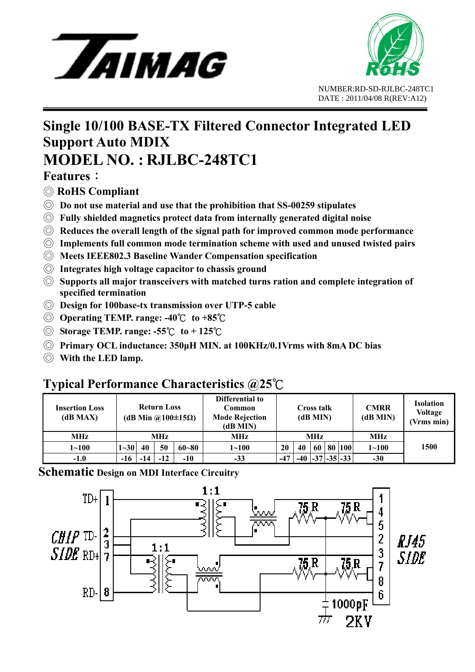



## **Single 10/100 BASE-TX Filtered Connector Integrated LED Support Auto MDIX MODEL NO. : RJLBC-248TC1**

#### **Features**:

- ◎ **RoHS Compliant**
- ◎ **Do not use material and use that the prohibition that SS-00259 stipulates**
- ◎ **Fully shielded magnetics protect data from internally generated digital noise**
- ◎ **Reduces the overall length of the signal path for improved common mode performance**
- ◎ **Implements full common mode termination scheme with used and unused twisted pairs**
- ◎ **Meets IEEE802.3 Baseline Wander Compensation specification**
- ◎ **Integrates high voltage capacitor to chassis ground**
- ◎ **Supports all major transceivers with matched turns ration and complete integration of specified termination**
- ◎ **Design for 100base-tx transmission over UTP-5 cable**
- ◎ **Operating TEMP. range: -40**℃ **to +85**℃
- ◎ **Storage TEMP. range: -55**℃ **to + 125**℃
- ◎ **Primary OCL inductance: 350μH MIN. at 100KHz/0.1Vrms with 8mA DC bias**
- ◎ **With the LED lamp.**

#### **Typical Performance Characteristics @25**℃

| <b>Insertion Loss</b><br>(dB MAX) | <b>Return Loss</b><br>(dB Min @100 $\pm$ 15 $\Omega$ ) |    |       |           | Differential to<br>Common<br><b>Mode Rejection</b><br>(dB MIN) | Cross talk<br>(dB MIN) |    |      |  | <b>CMRR</b><br>(dB MIN) | <b>Isolation</b><br><b>Voltage</b><br>(Vrms min) |      |
|-----------------------------------|--------------------------------------------------------|----|-------|-----------|----------------------------------------------------------------|------------------------|----|------|--|-------------------------|--------------------------------------------------|------|
| <b>MHz</b>                        | MHz                                                    |    |       |           | <b>MHz</b>                                                     | MHz                    |    |      |  |                         | <b>MHz</b>                                       |      |
| $1 - 100$                         | $1 - 30$                                               | 40 | 50    | $60 - 80$ | $1 - 100$                                                      | 20                     | 40 | 60 l |  | 80 100                  | $1 - 100$                                        | 1500 |
| $-1.0$                            | -16                                                    |    | $-12$ | $-10$     | $-33$                                                          | $-47$                  |    |      |  | $-37$ $-35$ $-33$       | $-30$                                            |      |

**Schematic Design on MDI Interface Circuitry** 

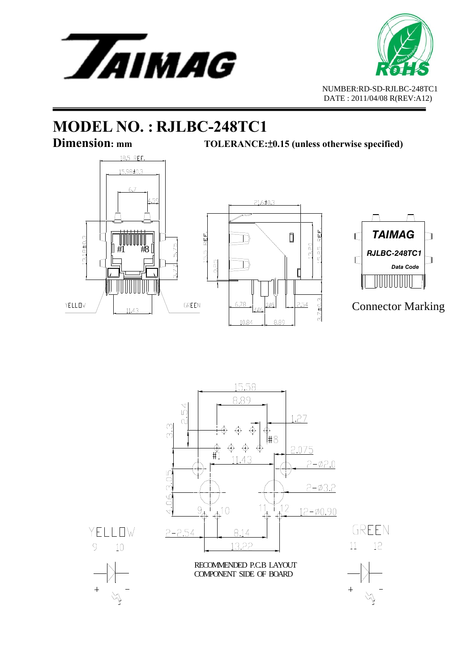



 NUMBER:RD-SD-RJLBC-248TC1 DATE : 2011/04/08 R(REV:A12)

# **MODEL NO. : RJLBC-248TC1**

**Dimension:** mm TOLERANCE:  $\pm 0.15$  (unless otherwise specified)





Connector Marking

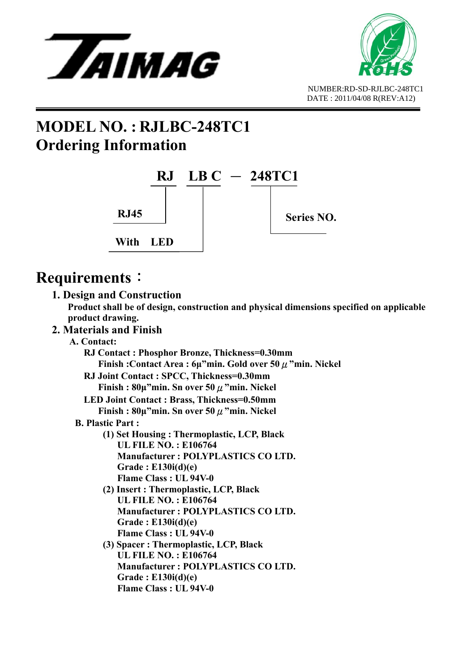



## **MODEL NO. : RJLBC-248TC1 Ordering Information**



## **Requirements**:

#### **1. Design and Construction**

 **Product shall be of design, construction and physical dimensions specified on applicable product drawing.** 

#### **2. Materials and Finish**

 **A. Contact: RJ Contact : Phosphor Bronze, Thickness=0.30mm Finish :Contact Area : 6μ"min. Gold over 50**μ**"min. Nickel RJ Joint Contact : SPCC, Thickness=0.30mm Finish : 80μ"min. Sn over 50**μ**"min. Nickel LED Joint Contact : Brass, Thickness=0.50mm Finish : 80μ"min. Sn over 50**μ**"min. Nickel B. Plastic Part : (1) Set Housing : Thermoplastic, LCP, Black UL FILE NO. : E106764 Manufacturer : POLYPLASTICS CO LTD. Grade : E130i(d)(e) Flame Class : UL 94V-0 (2) Insert : Thermoplastic, LCP, Black UL FILE NO. : E106764 Manufacturer : POLYPLASTICS CO LTD. Grade : E130i(d)(e) Flame Class : UL 94V-0 (3) Spacer : Thermoplastic, LCP, Black UL FILE NO. : E106764** 

 **Manufacturer : POLYPLASTICS CO LTD. Grade : E130i(d)(e) Flame Class : UL 94V-0**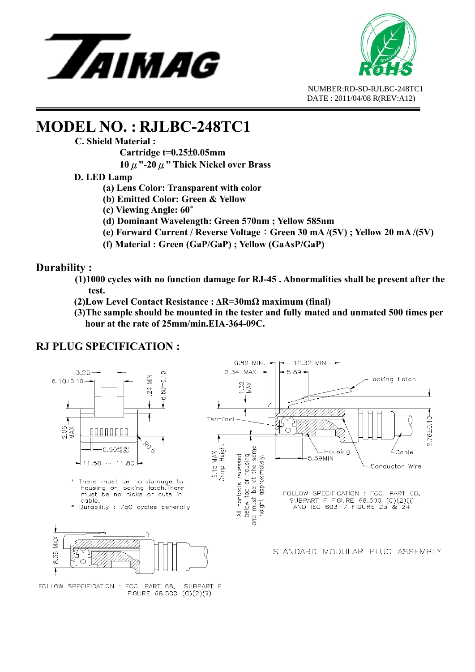



 NUMBER:RD-SD-RJLBC-248TC1 DATE : 2011/04/08 R(REV:A12)

# **MODEL NO. : RJLBC-248TC1**<br>C. Shield Material :

 **Cartridge t=0.25**±**0.05mm** 

 **10**μ**"-20**μ**" Thick Nickel over Brass** 

#### **D. LED Lamp**

- **(a) Lens Color: Transparent with color**
- **(b) Emitted Color: Green & Yellow**
- **(c) Viewing Angle: 60**∘
- **(d) Dominant Wavelength: Green 570nm ; Yellow 585nm**
- **(e) Forward Current / Reverse Voltage**:**Green 30 mA /(5V) ; Yellow 20 mA /(5V)**
- **(f) Material : Green (GaP/GaP) ; Yellow (GaAsP/GaP)**

#### **Durability :**

- **(1)1000 cycles with no function damage for RJ-45 . Abnormalities shall be present after the test.**
- **(2)Low Level Contact Resistance : ΔR=30mΩ maximum (final)**
- **(3)The sample should be mounted in the tester and fully mated and unmated 500 times per hour at the rate of 25mm/min.EIA-364-09C.**

#### **RJ PLUG SPECIFICATION :**



FOLLOW SPECIFICATION : FCC, PART 68, SUBPART F FIGURE 68.500 (C)(2)(ii)